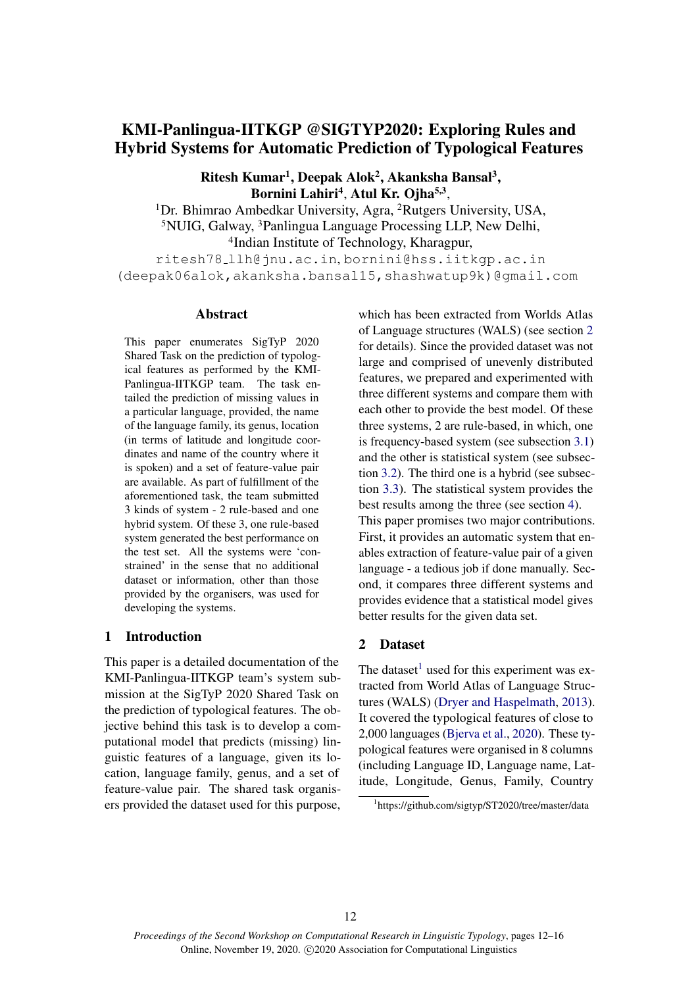# KMI-Panlingua-IITKGP @SIGTYP2020: Exploring Rules and Hybrid Systems for Automatic Prediction of Typological Features

Ritesh Kumar<sup>1</sup>, Deepak Alok<sup>2</sup>, Akanksha Bansal<sup>3</sup>, Bornini Lahiri<sup>4</sup>, Atul Kr. Ojha<sup>5,3</sup>,

<sup>1</sup>Dr. Bhimrao Ambedkar University, Agra, <sup>2</sup>Rutgers University, USA, <sup>5</sup>NUIG, Galway, <sup>3</sup>Panlingua Language Processing LLP, New Delhi, 4 Indian Institute of Technology, Kharagpur,

ritesh78 llh@jnu.ac.in, bornini@hss.iitkgp.ac.in (deepak06alok,akanksha.bansal15,shashwatup9k)@gmail.com

#### Abstract

This paper enumerates SigTyP 2020 Shared Task on the prediction of typological features as performed by the KMI-Panlingua-IITKGP team. The task entailed the prediction of missing values in a particular language, provided, the name of the language family, its genus, location (in terms of latitude and longitude coordinates and name of the country where it is spoken) and a set of feature-value pair are available. As part of fulfillment of the aforementioned task, the team submitted 3 kinds of system - 2 rule-based and one hybrid system. Of these 3, one rule-based system generated the best performance on the test set. All the systems were 'constrained' in the sense that no additional dataset or information, other than those provided by the organisers, was used for developing the systems.

# 1 Introduction

This paper is a detailed documentation of the KMI-Panlingua-IITKGP team's system submission at the SigTyP 2020 Shared Task on the prediction of typological features. The objective behind this task is to develop a computational model that predicts (missing) linguistic features of a language, given its location, language family, genus, and a set of feature-value pair. The shared task organisers provided the dataset used for this purpose, which has been extracted from Worlds Atlas of Language structures (WALS) (see section [2](#page-0-0) for details). Since the provided dataset was not large and comprised of unevenly distributed features, we prepared and experimented with three different systems and compare them with each other to provide the best model. Of these three systems, 2 are rule-based, in which, one is frequency-based system (see subsection [3.1\)](#page-1-0) and the other is statistical system (see subsection [3.2\)](#page-1-1). The third one is a hybrid (see subsection [3.3\)](#page-2-0). The statistical system provides the best results among the three (see section [4\)](#page-2-1). This paper promises two major contributions. First, it provides an automatic system that enables extraction of feature-value pair of a given language - a tedious job if done manually. Second, it compares three different systems and provides evidence that a statistical model gives better results for the given data set.

## <span id="page-0-0"></span>2 Dataset

The dataset<sup>[1](#page-0-1)</sup> used for this experiment was extracted from World Atlas of Language Structures (WALS) [\(Dryer and Haspelmath,](#page-4-0) [2013\)](#page-4-0). It covered the typological features of close to 2,000 languages [\(Bjerva et al.,](#page-3-0) [2020\)](#page-3-0). These typological features were organised in 8 columns (including Language ID, Language name, Latitude, Longitude, Genus, Family, Country

<span id="page-0-1"></span><sup>1</sup> https://github.com/sigtyp/ST2020/tree/master/data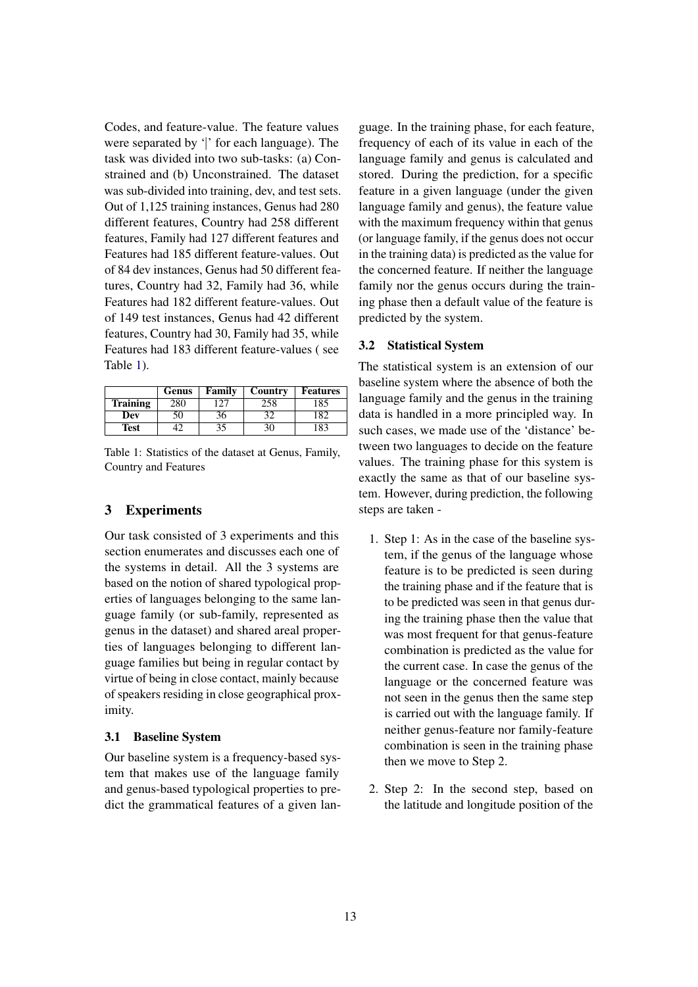Codes, and feature-value. The feature values were separated by '∣' for each language). The task was divided into two sub-tasks: (a) Constrained and (b) Unconstrained. The dataset was sub-divided into training, dev, and test sets. Out of 1,125 training instances, Genus had 280 different features, Country had 258 different features, Family had 127 different features and Features had 185 different feature-values. Out of 84 dev instances, Genus had 50 different features, Country had 32, Family had 36, while Features had 182 different feature-values. Out of 149 test instances, Genus had 42 different features, Country had 30, Family had 35, while Features had 183 different feature-values ( see Table [1\)](#page-1-2).

<span id="page-1-2"></span>

|                 | Genus        | Family | Country | <b>Features</b> |
|-----------------|--------------|--------|---------|-----------------|
| <b>Training</b> |              |        |         | 85              |
| Dev             | $50^{\circ}$ | 36     |         |                 |
| Test            |              | 35     |         | 83              |

Table 1: Statistics of the dataset at Genus, Family, Country and Features

# 3 Experiments

Our task consisted of 3 experiments and this section enumerates and discusses each one of the systems in detail. All the 3 systems are based on the notion of shared typological properties of languages belonging to the same language family (or sub-family, represented as genus in the dataset) and shared areal properties of languages belonging to different language families but being in regular contact by virtue of being in close contact, mainly because of speakers residing in close geographical proximity.

#### <span id="page-1-0"></span>3.1 Baseline System

Our baseline system is a frequency-based system that makes use of the language family and genus-based typological properties to predict the grammatical features of a given lan-

guage. In the training phase, for each feature, frequency of each of its value in each of the language family and genus is calculated and stored. During the prediction, for a specific feature in a given language (under the given language family and genus), the feature value with the maximum frequency within that genus (or language family, if the genus does not occur in the training data) is predicted as the value for the concerned feature. If neither the language family nor the genus occurs during the training phase then a default value of the feature is predicted by the system.

#### <span id="page-1-1"></span>3.2 Statistical System

The statistical system is an extension of our baseline system where the absence of both the language family and the genus in the training data is handled in a more principled way. In such cases, we made use of the 'distance' between two languages to decide on the feature values. The training phase for this system is exactly the same as that of our baseline system. However, during prediction, the following steps are taken -

- 1. Step 1: As in the case of the baseline system, if the genus of the language whose feature is to be predicted is seen during the training phase and if the feature that is to be predicted was seen in that genus during the training phase then the value that was most frequent for that genus-feature combination is predicted as the value for the current case. In case the genus of the language or the concerned feature was not seen in the genus then the same step is carried out with the language family. If neither genus-feature nor family-feature combination is seen in the training phase then we move to Step 2.
- 2. Step 2: In the second step, based on the latitude and longitude position of the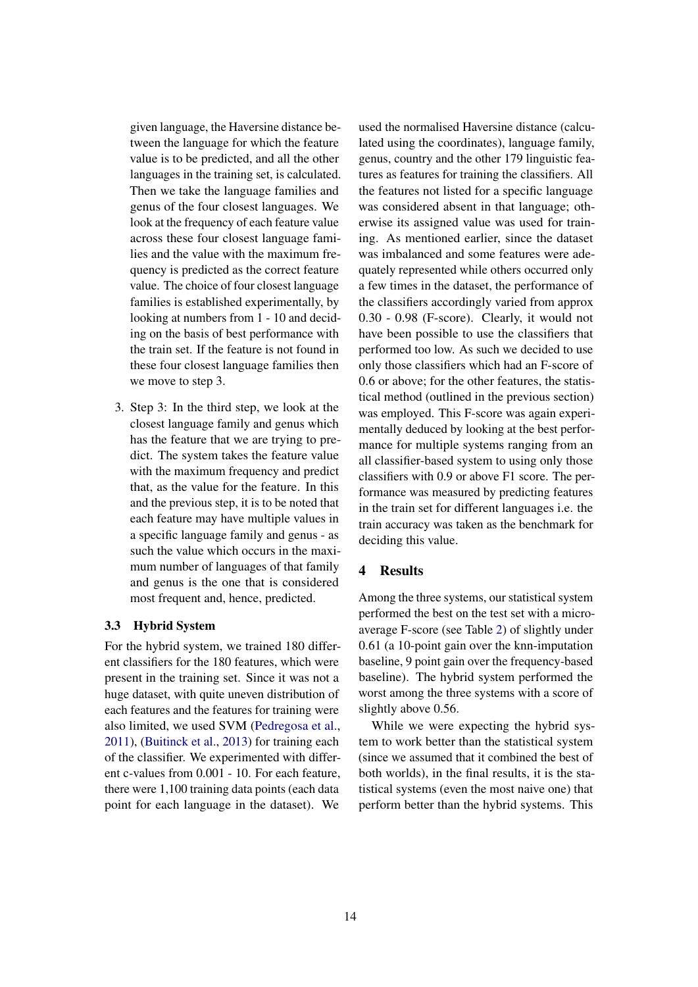given language, the Haversine distance between the language for which the feature value is to be predicted, and all the other languages in the training set, is calculated. Then we take the language families and genus of the four closest languages. We look at the frequency of each feature value across these four closest language families and the value with the maximum frequency is predicted as the correct feature value. The choice of four closest language families is established experimentally, by looking at numbers from 1 - 10 and deciding on the basis of best performance with the train set. If the feature is not found in these four closest language families then we move to step 3.

3. Step 3: In the third step, we look at the closest language family and genus which has the feature that we are trying to predict. The system takes the feature value with the maximum frequency and predict that, as the value for the feature. In this and the previous step, it is to be noted that each feature may have multiple values in a specific language family and genus - as such the value which occurs in the maximum number of languages of that family and genus is the one that is considered most frequent and, hence, predicted.

#### <span id="page-2-0"></span>3.3 Hybrid System

For the hybrid system, we trained 180 different classifiers for the 180 features, which were present in the training set. Since it was not a huge dataset, with quite uneven distribution of each features and the features for training were also limited, we used SVM [\(Pedregosa et al.,](#page-4-1) [2011\)](#page-4-1), [\(Buitinck et al.,](#page-3-1) [2013\)](#page-3-1) for training each of the classifier. We experimented with different c-values from 0.001 - 10. For each feature, there were 1,100 training data points (each data point for each language in the dataset). We

used the normalised Haversine distance (calculated using the coordinates), language family, genus, country and the other 179 linguistic features as features for training the classifiers. All the features not listed for a specific language was considered absent in that language; otherwise its assigned value was used for training. As mentioned earlier, since the dataset was imbalanced and some features were adequately represented while others occurred only a few times in the dataset, the performance of the classifiers accordingly varied from approx 0.30 - 0.98 (F-score). Clearly, it would not have been possible to use the classifiers that performed too low. As such we decided to use only those classifiers which had an F-score of 0.6 or above; for the other features, the statistical method (outlined in the previous section) was employed. This F-score was again experimentally deduced by looking at the best performance for multiple systems ranging from an all classifier-based system to using only those classifiers with 0.9 or above F1 score. The performance was measured by predicting features in the train set for different languages i.e. the train accuracy was taken as the benchmark for deciding this value.

## <span id="page-2-1"></span>4 Results

Among the three systems, our statistical system performed the best on the test set with a microaverage F-score (see Table [2\)](#page-3-2) of slightly under 0.61 (a 10-point gain over the knn-imputation baseline, 9 point gain over the frequency-based baseline). The hybrid system performed the worst among the three systems with a score of slightly above 0.56.

While we were expecting the hybrid system to work better than the statistical system (since we assumed that it combined the best of both worlds), in the final results, it is the statistical systems (even the most naive one) that perform better than the hybrid systems. This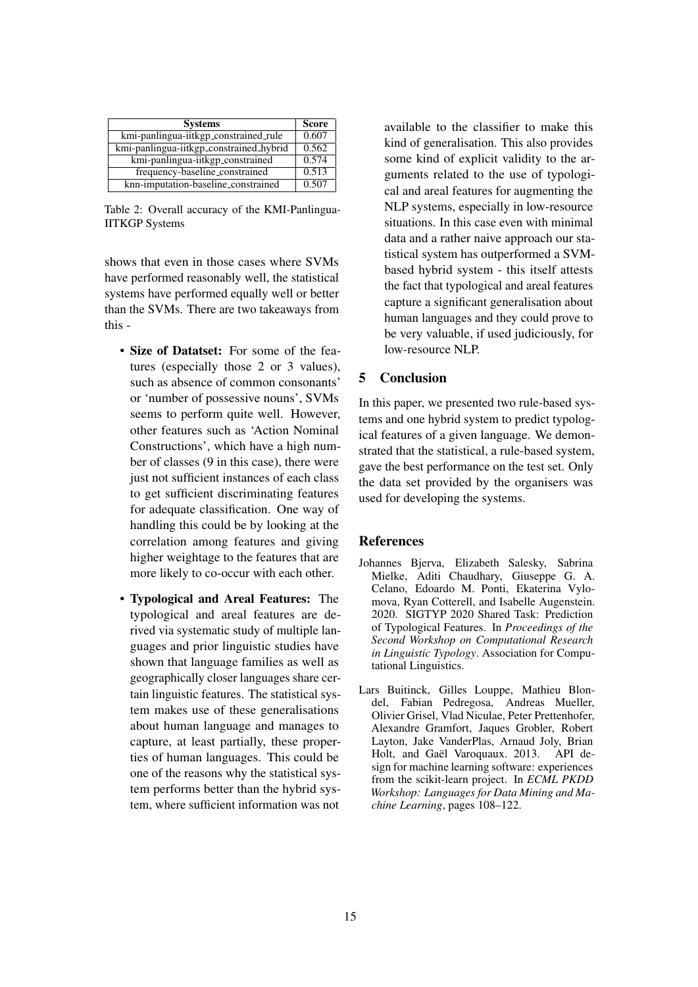<span id="page-3-2"></span>

| <b>Systems</b>                          | <b>Score</b> |
|-----------------------------------------|--------------|
| kmi-panlingua-iitkgp_constrained_rule   | 0.607        |
| kmi-panlingua-iitkgp_constrained_hybrid | 0.562        |
| kmi-panlingua-iitkgp_constrained        | 0.574        |
| frequency-baseline_constrained          | 0.513        |
| knn-imputation-baseline_constrained     | 0.507        |

Table 2: Overall accuracy of the KMI-Panlingua-IITKGP Systems

shows that even in those cases where SVMs have performed reasonably well, the statistical systems have performed equally well or better than the SVMs. There are two takeaways from this -

- Size of Datatset: For some of the features (especially those 2 or 3 values), such as absence of common consonants' or 'number of possessive nouns', SVMs seems to perform quite well. However, other features such as 'Action Nominal Constructions', which have a high number of classes (9 in this case), there were just not sufficient instances of each class to get sufficient discriminating features for adequate classification. One way of handling this could be by looking at the correlation among features and giving higher weightage to the features that are more likely to co-occur with each other.
- Typological and Areal Features: The typological and areal features are derived via systematic study of multiple languages and prior linguistic studies have shown that language families as well as geographically closer languages share certain linguistic features. The statistical system makes use of these generalisations about human language and manages to capture, at least partially, these properties of human languages. This could be one of the reasons why the statistical system performs better than the hybrid system, where sufficient information was not

available to the classifier to make this kind of generalisation. This also provides some kind of explicit validity to the arguments related to the use of typological and areal features for augmenting the NLP systems, especially in low-resource situations. In this case even with minimal data and a rather naive approach our statistical system has outperformed a SVMbased hybrid system - this itself attests the fact that typological and areal features capture a significant generalisation about human languages and they could prove to be very valuable, if used judiciously, for low-resource NLP.

# 5 Conclusion

In this paper, we presented two rule-based systems and one hybrid system to predict typological features of a given language. We demonstrated that the statistical, a rule-based system, gave the best performance on the test set. Only the data set provided by the organisers was used for developing the systems.

# **References**

- <span id="page-3-0"></span>Johannes Bjerva, Elizabeth Salesky, Sabrina Mielke, Aditi Chaudhary, Giuseppe G. A. Celano, Edoardo M. Ponti, Ekaterina Vylomova, Ryan Cotterell, and Isabelle Augenstein. 2020. SIGTYP 2020 Shared Task: Prediction of Typological Features. In *Proceedings of the Second Workshop on Computational Research in Linguistic Typology*. Association for Computational Linguistics.
- <span id="page-3-1"></span>Lars Buitinck, Gilles Louppe, Mathieu Blondel, Fabian Pedregosa, Andreas Mueller, Olivier Grisel, Vlad Niculae, Peter Prettenhofer, Alexandre Gramfort, Jaques Grobler, Robert Layton, Jake VanderPlas, Arnaud Joly, Brian Holt, and Gaël Varoquaux. 2013. API design for machine learning software: experiences from the scikit-learn project. In *ECML PKDD Workshop: Languages for Data Mining and Machine Learning*, pages 108–122.